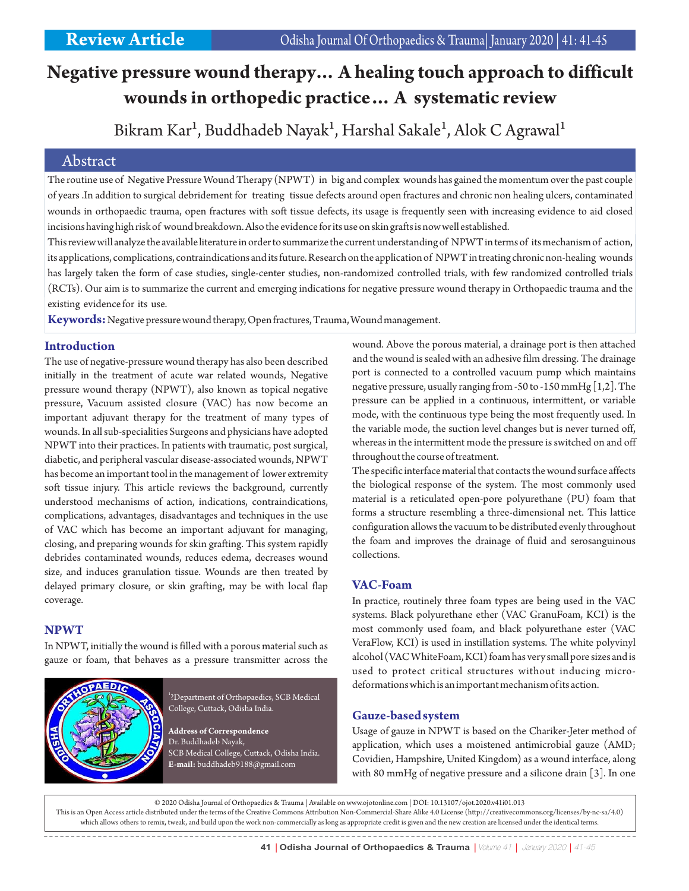# **Negative pressure wound therapy… A healing touch approach to difficult wounds in orthopedic practice… A systematic review**

## Bikram Kar<sup>1</sup>, Buddhadeb Nayak<sup>1</sup>, Harshal Sakale<sup>1</sup>, Alok C Agrawal<sup>1</sup>

## Abstract

The routine use of Negative Pressure Wound Therapy (NPWT) in big and complex wounds has gained the momentum over the past couple of years .In addition to surgical debridement for treating tissue defects around open fractures and chronic non healing ulcers, contaminated wounds in orthopaedic trauma, open fractures with soft tissue defects, its usage is frequently seen with increasing evidence to aid closed incisions having high risk of wound breakdown. Also the evidence for its use on skin grafts is now well established.

This review will analyze the available literature in order to summarize the current understanding of NPWT in terms of its mechanism of action, its applications, complications, contraindications and its future. Research on the application of NPWT in treating chronic non-healing wounds has largely taken the form of case studies, single-center studies, non-randomized controlled trials, with few randomized controlled trials (RCTs). Our aim is to summarize the current and emerging indications for negative pressure wound therapy in Orthopaedic trauma and the existing evidence for its use.

**Keywords:**Negative pressure wound therapy, Open fractures, Trauma, Wound management.

## **Introduction**

The use of negative-pressure wound therapy has also been described initially in the treatment of acute war related wounds, Negative pressure wound therapy (NPWT), also known as topical negative pressure, Vacuum assisted closure (VAC) has now become an important adjuvant therapy for the treatment of many types of wounds. In all sub-specialities Surgeons and physicians have adopted NPWT into their practices. In patients with traumatic, post surgical, diabetic, and peripheral vascular disease-associated wounds, NPWT has become an important tool in the management of lower extremity soft tissue injury. This article reviews the background, currently understood mechanisms of action, indications, contraindications, complications, advantages, disadvantages and techniques in the use of VAC which has become an important adjuvant for managing, closing, and preparing wounds for skin grafting. This system rapidly debrides contaminated wounds, reduces edema, decreases wound size, and induces granulation tissue. Wounds are then treated by delayed primary closure, or skin grafting, may be with local flap coverage.

### **NPWT**

In NPWT, initially the wound is filled with a porous material such as gauze or foam, that behaves as a pressure transmitter across the



1 ?Department of Orthopaedics, SCB Medical College, Cuttack, Odisha India.

**Address of Correspondence** Dr. Buddhadeb Nayak, SCB Medical College, Cuttack, Odisha India. **E-mail:** buddhadeb9188@gmail.com

wound. Above the porous material, a drainage port is then attached and the wound is sealed with an adhesive film dressing. The drainage port is connected to a controlled vacuum pump which maintains negative pressure, usually ranging from -50 to -150 mmHg [1,2]. The pressure can be applied in a continuous, intermittent, or variable mode, with the continuous type being the most frequently used. In the variable mode, the suction level changes but is never turned off, whereas in the intermittent mode the pressure is switched on and off throughout the course of treatment.

The specific interface material that contacts the wound surface affects the biological response of the system. The most commonly used material is a reticulated open-pore polyurethane (PU) foam that forms a structure resembling a three-dimensional net. This lattice configuration allows the vacuum to be distributed evenly throughout the foam and improves the drainage of fluid and serosanguinous collections.

## **VAC-Foam**

In practice, routinely three foam types are being used in the VAC systems. Black polyurethane ether (VAC GranuFoam, KCI) is the most commonly used foam, and black polyurethane ester (VAC VeraFlow, KCI) is used in instillation systems. The white polyvinyl alcohol (VAC WhiteFoam, KCI) foam has very small pore sizes and is used to protect critical structures without inducing microdeformations which is an important mechanism of its action.

## **Gauze-based system**

Usage of gauze in NPWT is based on the Chariker-Jeter method of application, which uses a moistened antimicrobial gauze (AMD; Covidien, Hampshire, United Kingdom) as a wound interface, along with 80 mmHg of negative pressure and a silicone drain [3]. In one

© 2020 Odisha Journal of Orthopaedics & Trauma | Available on www.ojotonline.com | DOI: 10.13107/ojot.2020.v41i01.013 This is an Open Access article distributed under the terms of the Creative Commons Attribution Non-Commercial-Share Alike 4.0 License (http://creativecommons.org/licenses/by-nc-sa/4.0) which allows others to remix, tweak, and build upon the work non-commercially as long as appropriate credit is given and the new creation are licensed under the identical terms.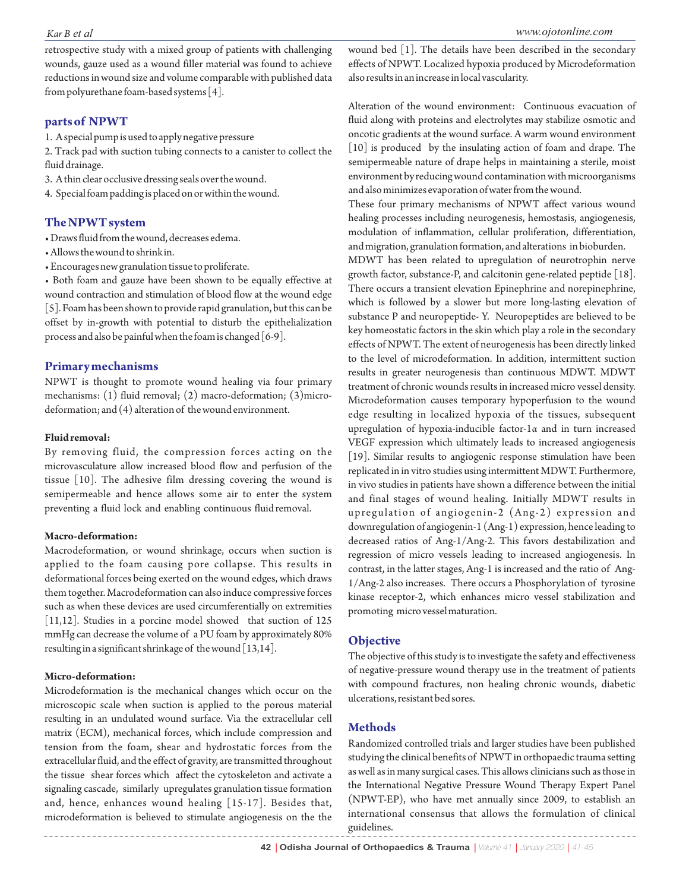retrospective study with a mixed group of patients with challenging wounds, gauze used as a wound filler material was found to achieve reductions in wound size and volume comparable with published data from polyurethane foam-based systems [4].

#### **parts of NPWT**

1. A special pump is used to apply negative pressure

2. Track pad with suction tubing connects to a canister to collect the fluid drainage.

3. A thin clear occlusive dressing seals over the wound.

4. Special foam padding is placed on or within the wound.

#### **The NPWT system**

• Draws fluid from the wound, decreases edema.

- Allows the wound to shrink in.
- Encourages new granulation tissue to proliferate.

• Both foam and gauze have been shown to be equally effective at wound contraction and stimulation of blood flow at the wound edge [5]. Foam has been shown to provide rapid granulation, but this can be offset by in-growth with potential to disturb the epithelialization process and also be painful when the foam is changed [6-9].

#### **Primary mechanisms**

NPWT is thought to promote wound healing via four primary mechanisms: (1) fluid removal; (2) macro-deformation; (3)microdeformation; and (4) alteration of the wound environment.

#### **Fluid removal:**

By removing fluid, the compression forces acting on the microvasculature allow increased blood flow and perfusion of the tissue [10]. The adhesive film dressing covering the wound is semipermeable and hence allows some air to enter the system preventing a fluid lock and enabling continuous fluid removal.

#### **Macro-deformation:**

Macrodeformation, or wound shrinkage, occurs when suction is applied to the foam causing pore collapse. This results in deformational forces being exerted on the wound edges, which draws them together. Macrodeformation can also induce compressive forces such as when these devices are used circumferentially on extremities [11,12]. Studies in a porcine model showed that suction of 125 mmHg can decrease the volume of a PU foam by approximately 80% resulting in a significant shrinkage of the wound [13,14].

#### **Micro-deformation:**

Microdeformation is the mechanical changes which occur on the microscopic scale when suction is applied to the porous material resulting in an undulated wound surface. Via the extracellular cell matrix (ECM), mechanical forces, which include compression and tension from the foam, shear and hydrostatic forces from the extracellular fluid, and the effect of gravity, are transmitted throughout the tissue shear forces which affect the cytoskeleton and activate a signaling cascade, similarly upregulates granulation tissue formation and, hence, enhances wound healing [15-17]. Besides that, microdeformation is believed to stimulate angiogenesis on the the

wound bed [1]. The details have been described in the secondary effects of NPWT. Localized hypoxia produced by Microdeformation also results in an increase in local vascularity.

Alteration of the wound environment: Continuous evacuation of fluid along with proteins and electrolytes may stabilize osmotic and oncotic gradients at the wound surface. A warm wound environment [10] is produced by the insulating action of foam and drape. The semipermeable nature of drape helps in maintaining a sterile, moist environment by reducing wound contamination with microorganisms and also minimizes evaporation of water from the wound.

These four primary mechanisms of NPWT affect various wound healing processes including neurogenesis, hemostasis, angiogenesis, modulation of inflammation, cellular proliferation, differentiation, and migration, granulation formation, and alterations in bioburden.

MDWT has been related to upregulation of neurotrophin nerve growth factor, substance-P, and calcitonin gene-related peptide [18]. There occurs a transient elevation Epinephrine and norepinephrine, which is followed by a slower but more long-lasting elevation of substance P and neuropeptide- Y. Neuropeptides are believed to be key homeostatic factors in the skin which play a role in the secondary effects of NPWT. The extent of neurogenesis has been directly linked to the level of microdeformation. In addition, intermittent suction results in greater neurogenesis than continuous MDWT. MDWT treatment of chronic wounds results in increased micro vessel density. Microdeformation causes temporary hypoperfusion to the wound edge resulting in localized hypoxia of the tissues, subsequent upregulation of hypoxia-inducible factor-1α and in turn increased VEGF expression which ultimately leads to increased angiogenesis [19]. Similar results to angiogenic response stimulation have been replicated in in vitro studies using intermittent MDWT. Furthermore, in vivo studies in patients have shown a difference between the initial and final stages of wound healing. Initially MDWT results in upregulation of angiogenin-2 (Ang-2) expression and downregulation of angiogenin-1 (Ang-1) expression, hence leading to decreased ratios of Ang-1/Ang-2. This favors destabilization and regression of micro vessels leading to increased angiogenesis. In contrast, in the latter stages, Ang-1 is increased and the ratio of Ang-1/Ang-2 also increases. There occurs a Phosphorylation of tyrosine kinase receptor-2, which enhances micro vessel stabilization and promoting micro vessel maturation.

#### **Objective**

The objective of this study is to investigate the safety and effectiveness of negative-pressure wound therapy use in the treatment of patients with compound fractures, non healing chronic wounds, diabetic ulcerations, resistant bed sores.

#### **Methods**

Randomized controlled trials and larger studies have been published studying the clinical benefits of NPWT in orthopaedic trauma setting as well as in many surgical cases. This allows clinicians such as those in the International Negative Pressure Wound Therapy Expert Panel (NPWT-EP), who have met annually since 2009, to establish an international consensus that allows the formulation of clinical guidelines.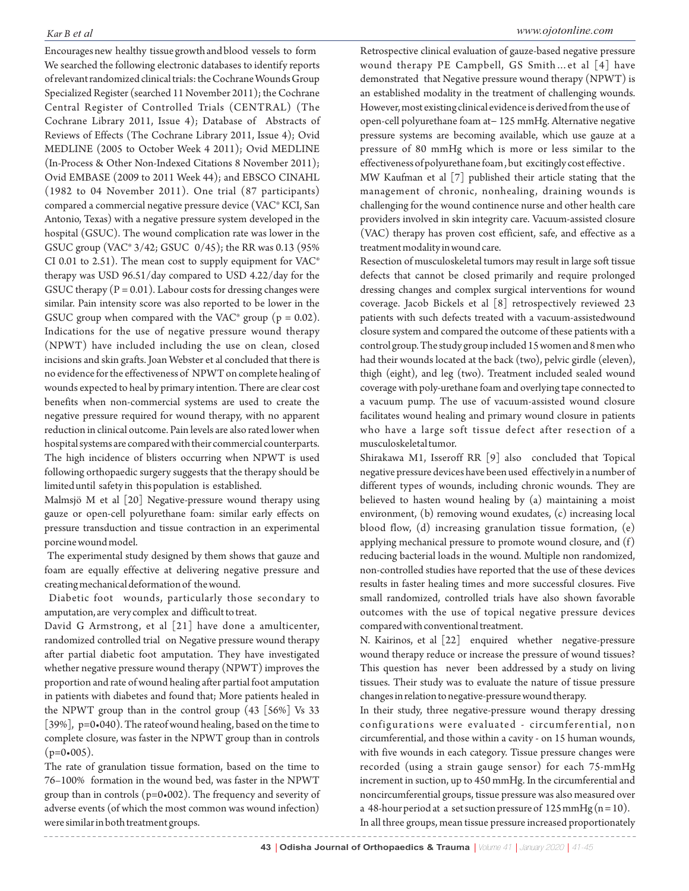Encourages new healthy tissue growth and blood vessels to form We searched the following electronic databases to identify reports of relevant randomized clinical trials: the Cochrane Wounds Group Specialized Register (searched 11 November 2011); the Cochrane Central Register of Controlled Trials (CENTRAL) (The Cochrane Library 2011, Issue 4); Database of Abstracts of Reviews of Effects (The Cochrane Library 2011, Issue 4); Ovid MEDLINE (2005 to October Week 4 2011); Ovid MEDLINE (In‐Process & Other Non‐Indexed Citations 8 November 2011); Ovid EMBASE (2009 to 2011 Week 44); and EBSCO CINAHL (1982 to 04 November 2011). One trial (87 participants) compared a commercial negative pressure device (VAC® KCI, San Antonio, Texas) with a negative pressure system developed in the hospital (GSUC). The wound complication rate was lower in the GSUC group (VAC® 3/42; GSUC 0/45); the RR was 0.13 (95% CI 0.01 to 2.51). The mean cost to supply equipment for VAC® therapy was USD 96.51/day compared to USD 4.22/day for the GSUC therapy  $(P = 0.01)$ . Labour costs for dressing changes were similar. Pain intensity score was also reported to be lower in the GSUC group when compared with the VAC<sup>®</sup> group ( $p = 0.02$ ). Indications for the use of negative pressure wound therapy (NPWT) have included including the use on clean, closed incisions and skin grafts. Joan Webster et al concluded that there is no evidence for the effectiveness of NPWT on complete healing of wounds expected to heal by primary intention. There are clear cost benefits when non‐commercial systems are used to create the negative pressure required for wound therapy, with no apparent reduction in clinical outcome. Pain levels are also rated lower when hospital systems are compared with their commercial counterparts. The high incidence of blisters occurring when NPWT is used following orthopaedic surgery suggests that the therapy should be limited until safety in this population is established.

Malmsjö M et al [20] Negative-pressure wound therapy using gauze or open-cell polyurethane foam: similar early effects on pressure transduction and tissue contraction in an experimental porcine wound model.

The experimental study designed by them shows that gauze and foam are equally effective at delivering negative pressure and creating mechanical deformation of the wound.

Diabetic foot wounds, particularly those secondary to amputation, are very complex and difficult to treat.

David G Armstrong, et al [21] have done a amulticenter, randomized controlled trial on Negative pressure wound therapy after partial diabetic foot amputation. They have investigated whether negative pressure wound therapy (NPWT) improves the proportion and rate of wound healing after partial foot amputation in patients with diabetes and found that; More patients healed in the NPWT group than in the control group (43 [56%] Vs 33 [39%], p=0•040). The rateof wound healing, based on the time to complete closure, was faster in the NPWT group than in controls  $(p=0.005)$ .

The rate of granulation tissue formation, based on the time to 76–100% formation in the wound bed, was faster in the NPWT group than in controls (p=0•002). The frequency and severity of adverse events (of which the most common was wound infection) were similar in both treatment groups.

Retrospective clinical evaluation of gauze‐based negative pressure wound therapy PE Campbell, GS Smith…et al [4] have demonstrated that Negative pressure wound therapy (NPWT) is an established modality in the treatment of challenging wounds. However, most existing clinical evidence is derived from the use of open‐cell polyurethane foam at− 125 mmHg. Alternative negative pressure systems are becoming available, which use gauze at a pressure of 80 mmHg which is more or less similar to the effectiveness of polyurethane foam , but excitingly cost effective .

MW Kaufman et al [7] published their article stating that the management of chronic, nonhealing, draining wounds is challenging for the wound continence nurse and other health care providers involved in skin integrity care. Vacuum-assisted closure (VAC) therapy has proven cost efficient, safe, and effective as a treatment modality in wound care.

Resection of musculoskeletal tumors may result in large soft tissue defects that cannot be closed primarily and require prolonged dressing changes and complex surgical interventions for wound coverage. Jacob Bickels et al [8] retrospectively reviewed 23 patients with such defects treated with a vacuum-assistedwound closure system and compared the outcome of these patients with a control group. The study group included 15 women and 8 men who had their wounds located at the back (two), pelvic girdle (eleven), thigh (eight), and leg (two). Treatment included sealed wound coverage with poly-urethane foam and overlying tape connected to a vacuum pump. The use of vacuum-assisted wound closure facilitates wound healing and primary wound closure in patients who have a large soft tissue defect after resection of a musculoskeletal tumor.

Shirakawa M1, Isseroff RR [9] also concluded that Topical negative pressure devices have been used effectively in a number of different types of wounds, including chronic wounds. They are believed to hasten wound healing by (a) maintaining a moist environment, (b) removing wound exudates, (c) increasing local blood flow, (d) increasing granulation tissue formation, (e) applying mechanical pressure to promote wound closure, and (f) reducing bacterial loads in the wound. Multiple non randomized, non-controlled studies have reported that the use of these devices results in faster healing times and more successful closures. Five small randomized, controlled trials have also shown favorable outcomes with the use of topical negative pressure devices compared with conventional treatment.

N. Kairinos, et al [22] enquired whether negative-pressure wound therapy reduce or increase the pressure of wound tissues? This question has never been addressed by a study on living tissues. Their study was to evaluate the nature of tissue pressure changes in relation to negative-pressure wound therapy.

In their study, three negative-pressure wound therapy dressing configurations were evaluated - circumferential, non circumferential, and those within a cavity - on 15 human wounds, with five wounds in each category. Tissue pressure changes were recorded (using a strain gauge sensor) for each 75-mmHg increment in suction, up to 450 mmHg. In the circumferential and noncircumferential groups, tissue pressure was also measured over a 48-hour period at a set suction pressure of  $125$  mmHg (n = 10).

In all three groups, mean tissue pressure increased proportionately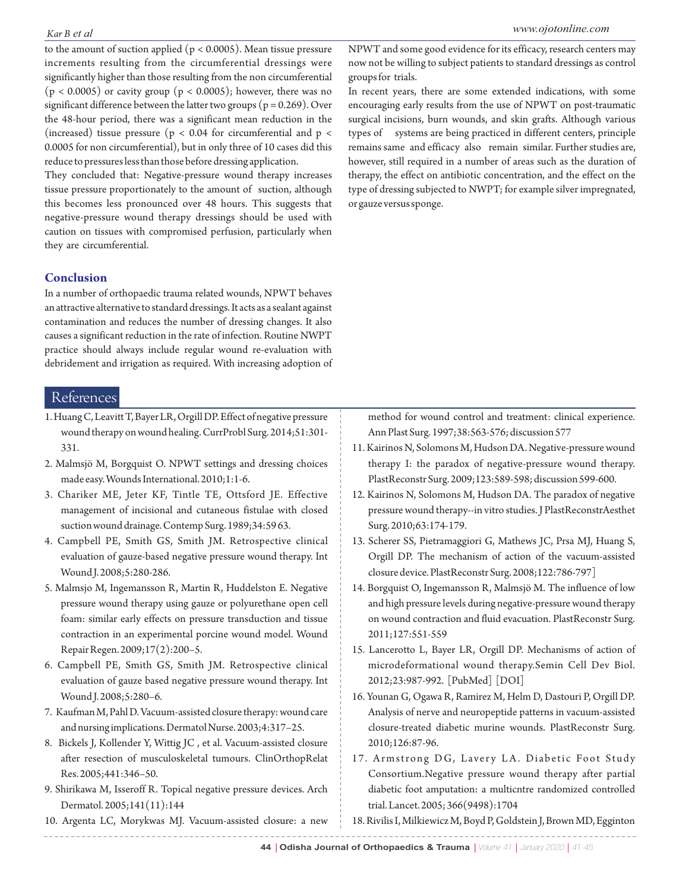to the amount of suction applied (p < 0.0005). Mean tissue pressure increments resulting from the circumferential dressings were significantly higher than those resulting from the non circumferential  $(p < 0.0005)$  or cavity group  $(p < 0.0005)$ ; however, there was no significant difference between the latter two groups ( $p = 0.269$ ). Over the 48-hour period, there was a significant mean reduction in the (increased) tissue pressure ( $p < 0.04$  for circumferential and  $p <$ 0.0005 for non circumferential), but in only three of 10 cases did this reduce to pressures less than those before dressing application.

They concluded that: Negative-pressure wound therapy increases tissue pressure proportionately to the amount of suction, although this becomes less pronounced over 48 hours. This suggests that negative-pressure wound therapy dressings should be used with caution on tissues with compromised perfusion, particularly when they are circumferential.

## **Conclusion**

In a number of orthopaedic trauma related wounds, NPWT behaves an attractive alternative to standard dressings. It acts as a sealant against contamination and reduces the number of dressing changes. It also causes a significant reduction in the rate of infection. Routine NWPT practice should always include regular wound re-evaluation with debridement and irrigation as required. With increasing adoption of

## References

- 1. Huang C, Leavitt T, Bayer LR, Orgill DP. Effect of negative pressure wound therapy on wound healing. CurrProbl Surg. 2014;51:301- 331.
- 2. Malmsjö M, Borgquist O. NPWT settings and dressing choices made easy. Wounds International. 2010;1:1-6.
- 3. Chariker ME, Jeter KF, Tintle TE, Ottsford JE. Effective management of incisional and cutaneous fistulae with closed suction wound drainage. Contemp Surg. 1989;34:59 63.
- 4. Campbell PE, Smith GS, Smith JM. Retrospective clinical evaluation of gauze-based negative pressure wound therapy. Int Wound J. 2008;5:280-286.
- 5. Malmsjo M, Ingemansson R, Martin R, Huddelston E. Negative pressure wound therapy using gauze or polyurethane open cell foam: similar early effects on pressure transduction and tissue contraction in an experimental porcine wound model. Wound Repair Regen. 2009;17(2):200–5.
- 6. Campbell PE, Smith GS, Smith JM. Retrospective clinical evaluation of gauze based negative pressure wound therapy. Int Wound J. 2008;5:280–6.
- 7. Kaufman M, Pahl D. Vacuum-assisted closure therapy: wound care and nursing implications. Dermatol Nurse. 2003;4:317–25.
- 8. Bickels J, Kollender Y, Wittig JC , et al. Vacuum-assisted closure after resection of musculoskeletal tumours. ClinOrthopRelat Res. 2005;441:346–50.
- 9. Shirikawa M, Isseroff R. Topical negative pressure devices. Arch Dermatol. 2005;141(11):144
- 10. Argenta LC, Morykwas MJ. Vacuum-assisted closure: a new

NPWT and some good evidence for its efficacy, research centers may now not be willing to subject patients to standard dressings as control groups for trials.

In recent years, there are some extended indications, with some encouraging early results from the use of NPWT on post-traumatic surgical incisions, burn wounds, and skin grafts. Although various types of systems are being practiced in different centers, principle remains same and efficacy also remain similar. Further studies are, however, still required in a number of areas such as the duration of therapy, the effect on antibiotic concentration, and the effect on the type of dressing subjected to NWPT; for example silver impregnated, or gauze versus sponge.

method for wound control and treatment: clinical experience. Ann Plast Surg. 1997;38:563-576; discussion 577

- 11. Kairinos N, Solomons M, Hudson DA. Negative-pressure wound therapy I: the paradox of negative-pressure wound therapy. PlastReconstr Surg. 2009;123:589-598; discussion 599-600.
- 12. Kairinos N, Solomons M, Hudson DA. The paradox of negative pressure wound therapy--in vitro studies. J PlastReconstrAesthet Surg. 2010;63:174-179.
- 13. Scherer SS, Pietramaggiori G, Mathews JC, Prsa MJ, Huang S, Orgill DP. The mechanism of action of the vacuum-assisted closure device. PlastReconstr Surg. 2008;122:786-797]
- 14. Borgquist O, Ingemansson R, Malmsjö M. The influence of low and high pressure levels during negative-pressure wound therapy on wound contraction and fluid evacuation. PlastReconstr Surg. 2011;127:551-559
- 15. Lancerotto L, Bayer LR, Orgill DP. Mechanisms of action of microdeformational wound therapy.Semin Cell Dev Biol. 2012;23:987-992. [PubMed] [DOI]
- 16. Younan G, Ogawa R, Ramirez M, Helm D, Dastouri P, Orgill DP. Analysis of nerve and neuropeptide patterns in vacuum-assisted closure-treated diabetic murine wounds. PlastReconstr Surg. 2010;126:87-96.
- 17. Armstrong DG, Lavery LA. Diabetic Foot Study Consortium.Negative pressure wound therapy after partial diabetic foot amputation: a multicntre randomized controlled trial. Lancet. 2005; 366(9498):1704
- 18. Rivilis I, Milkiewicz M, Boyd P, Goldstein J, Brown MD, Egginton